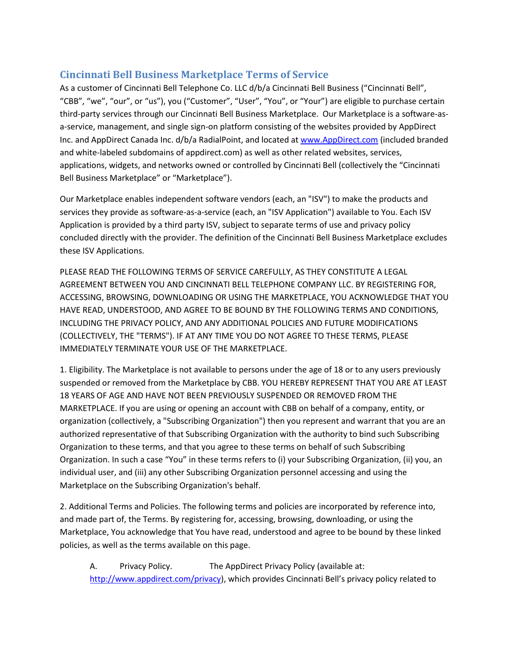# **Cincinnati Bell Business Marketplace Terms of Service**

As a customer of Cincinnati Bell Telephone Co. LLC d/b/a Cincinnati Bell Business ("Cincinnati Bell", "CBB", "we", "our", or "us"), you ("Customer", "User", "You", or "Your") are eligible to purchase certain third-party services through our Cincinnati Bell Business Marketplace. Our Marketplace is a software-asa-service, management, and single sign-on platform consisting of the websites provided by AppDirect Inc. and AppDirect Canada Inc. d/b/a RadialPoint, and located a[t www.AppDirect.com](http://www.appdirect.com/) (included branded and white-labeled subdomains of appdirect.com) as well as other related websites, services, applications, widgets, and networks owned or controlled by Cincinnati Bell (collectively the "Cincinnati Bell Business Marketplace" or "Marketplace").

Our Marketplace enables independent software vendors (each, an "ISV") to make the products and services they provide as software-as-a-service (each, an "ISV Application") available to You. Each ISV Application is provided by a third party ISV, subject to separate terms of use and privacy policy concluded directly with the provider. The definition of the Cincinnati Bell Business Marketplace excludes these ISV Applications.

PLEASE READ THE FOLLOWING TERMS OF SERVICE CAREFULLY, AS THEY CONSTITUTE A LEGAL AGREEMENT BETWEEN YOU AND CINCINNATI BELL TELEPHONE COMPANY LLC. BY REGISTERING FOR, ACCESSING, BROWSING, DOWNLOADING OR USING THE MARKETPLACE, YOU ACKNOWLEDGE THAT YOU HAVE READ, UNDERSTOOD, AND AGREE TO BE BOUND BY THE FOLLOWING TERMS AND CONDITIONS, INCLUDING THE PRIVACY POLICY, AND ANY ADDITIONAL POLICIES AND FUTURE MODIFICATIONS (COLLECTIVELY, THE "TERMS"). IF AT ANY TIME YOU DO NOT AGREE TO THESE TERMS, PLEASE IMMEDIATELY TERMINATE YOUR USE OF THE MARKETPLACE.

1. Eligibility. The Marketplace is not available to persons under the age of 18 or to any users previously suspended or removed from the Marketplace by CBB. YOU HEREBY REPRESENT THAT YOU ARE AT LEAST 18 YEARS OF AGE AND HAVE NOT BEEN PREVIOUSLY SUSPENDED OR REMOVED FROM THE MARKETPLACE. If you are using or opening an account with CBB on behalf of a company, entity, or organization (collectively, a "Subscribing Organization") then you represent and warrant that you are an authorized representative of that Subscribing Organization with the authority to bind such Subscribing Organization to these terms, and that you agree to these terms on behalf of such Subscribing Organization. In such a case "You" in these terms refers to (i) your Subscribing Organization, (ii) you, an individual user, and (iii) any other Subscribing Organization personnel accessing and using the Marketplace on the Subscribing Organization's behalf.

2. Additional Terms and Policies. The following terms and policies are incorporated by reference into, and made part of, the Terms. By registering for, accessing, browsing, downloading, or using the Marketplace, You acknowledge that You have read, understood and agree to be bound by these linked policies, as well as the terms available on this page.

A. Privacy Policy. The AppDirect Privacy Policy (available at: [http://www.appdirect.com/privacy\)](http://www.appdirect.com/privacy), which provides Cincinnati Bell's privacy policy related to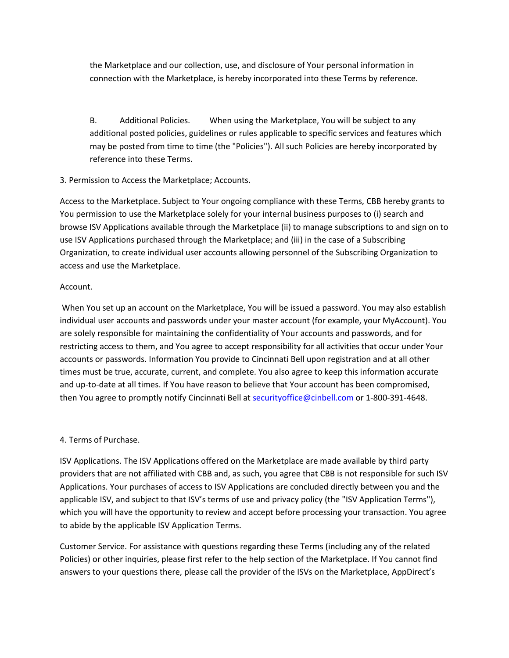the Marketplace and our collection, use, and disclosure of Your personal information in connection with the Marketplace, is hereby incorporated into these Terms by reference.

B. Additional Policies. When using the Marketplace, You will be subject to any additional posted policies, guidelines or rules applicable to specific services and features which may be posted from time to time (the "Policies"). All such Policies are hereby incorporated by reference into these Terms.

## 3. Permission to Access the Marketplace; Accounts.

Access to the Marketplace. Subject to Your ongoing compliance with these Terms, CBB hereby grants to You permission to use the Marketplace solely for your internal business purposes to (i) search and browse ISV Applications available through the Marketplace (ii) to manage subscriptions to and sign on to use ISV Applications purchased through the Marketplace; and (iii) in the case of a Subscribing Organization, to create individual user accounts allowing personnel of the Subscribing Organization to access and use the Marketplace.

#### Account.

When You set up an account on the Marketplace, You will be issued a password. You may also establish individual user accounts and passwords under your master account (for example, your MyAccount). You are solely responsible for maintaining the confidentiality of Your accounts and passwords, and for restricting access to them, and You agree to accept responsibility for all activities that occur under Your accounts or passwords. Information You provide to Cincinnati Bell upon registration and at all other times must be true, accurate, current, and complete. You also agree to keep this information accurate and up-to-date at all times. If You have reason to believe that Your account has been compromised, then You agree to promptly notify Cincinnati Bell at [securityoffice@cinbell.com](mailto:securityoffice@cinbell.com) or 1-800-391-4648.

## 4. Terms of Purchase.

ISV Applications. The ISV Applications offered on the Marketplace are made available by third party providers that are not affiliated with CBB and, as such, you agree that CBB is not responsible for such ISV Applications. Your purchases of access to ISV Applications are concluded directly between you and the applicable ISV, and subject to that ISV's terms of use and privacy policy (the "ISV Application Terms"), which you will have the opportunity to review and accept before processing your transaction. You agree to abide by the applicable ISV Application Terms.

Customer Service. For assistance with questions regarding these Terms (including any of the related Policies) or other inquiries, please first refer to the help section of the Marketplace. If You cannot find answers to your questions there, please call the provider of the ISVs on the Marketplace, AppDirect's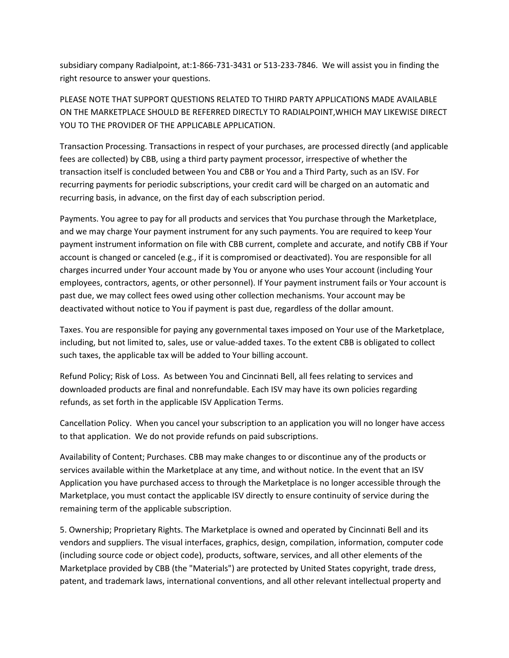subsidiary company Radialpoint, at:1-866-731-3431 or 513-233-7846. We will assist you in finding the right resource to answer your questions.

PLEASE NOTE THAT SUPPORT QUESTIONS RELATED TO THIRD PARTY APPLICATIONS MADE AVAILABLE ON THE MARKETPLACE SHOULD BE REFERRED DIRECTLY TO RADIALPOINT,WHICH MAY LIKEWISE DIRECT YOU TO THE PROVIDER OF THE APPLICABLE APPLICATION.

Transaction Processing. Transactions in respect of your purchases, are processed directly (and applicable fees are collected) by CBB, using a third party payment processor, irrespective of whether the transaction itself is concluded between You and CBB or You and a Third Party, such as an ISV. For recurring payments for periodic subscriptions, your credit card will be charged on an automatic and recurring basis, in advance, on the first day of each subscription period.

Payments. You agree to pay for all products and services that You purchase through the Marketplace, and we may charge Your payment instrument for any such payments. You are required to keep Your payment instrument information on file with CBB current, complete and accurate, and notify CBB if Your account is changed or canceled (e.g., if it is compromised or deactivated). You are responsible for all charges incurred under Your account made by You or anyone who uses Your account (including Your employees, contractors, agents, or other personnel). If Your payment instrument fails or Your account is past due, we may collect fees owed using other collection mechanisms. Your account may be deactivated without notice to You if payment is past due, regardless of the dollar amount.

Taxes. You are responsible for paying any governmental taxes imposed on Your use of the Marketplace, including, but not limited to, sales, use or value-added taxes. To the extent CBB is obligated to collect such taxes, the applicable tax will be added to Your billing account.

Refund Policy; Risk of Loss. As between You and Cincinnati Bell, all fees relating to services and downloaded products are final and nonrefundable. Each ISV may have its own policies regarding refunds, as set forth in the applicable ISV Application Terms.

Cancellation Policy. When you cancel your subscription to an application you will no longer have access to that application. We do not provide refunds on paid subscriptions.

Availability of Content; Purchases. CBB may make changes to or discontinue any of the products or services available within the Marketplace at any time, and without notice. In the event that an ISV Application you have purchased access to through the Marketplace is no longer accessible through the Marketplace, you must contact the applicable ISV directly to ensure continuity of service during the remaining term of the applicable subscription.

5. Ownership; Proprietary Rights. The Marketplace is owned and operated by Cincinnati Bell and its vendors and suppliers. The visual interfaces, graphics, design, compilation, information, computer code (including source code or object code), products, software, services, and all other elements of the Marketplace provided by CBB (the "Materials") are protected by United States copyright, trade dress, patent, and trademark laws, international conventions, and all other relevant intellectual property and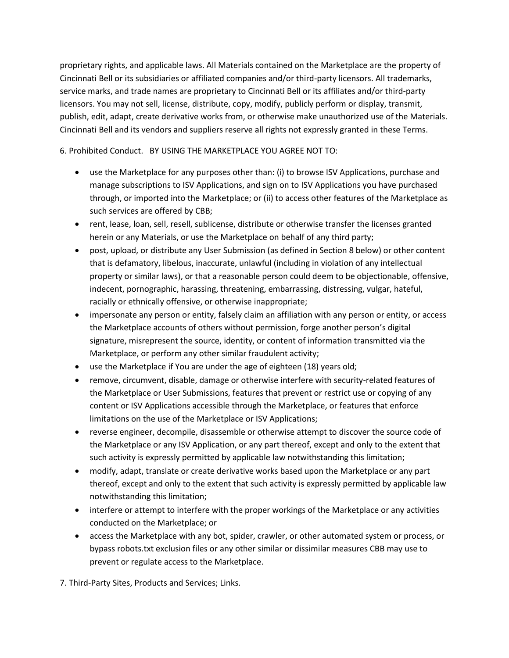proprietary rights, and applicable laws. All Materials contained on the Marketplace are the property of Cincinnati Bell or its subsidiaries or affiliated companies and/or third-party licensors. All trademarks, service marks, and trade names are proprietary to Cincinnati Bell or its affiliates and/or third-party licensors. You may not sell, license, distribute, copy, modify, publicly perform or display, transmit, publish, edit, adapt, create derivative works from, or otherwise make unauthorized use of the Materials. Cincinnati Bell and its vendors and suppliers reserve all rights not expressly granted in these Terms.

6. Prohibited Conduct. BY USING THE MARKETPLACE YOU AGREE NOT TO:

- use the Marketplace for any purposes other than: (i) to browse ISV Applications, purchase and manage subscriptions to ISV Applications, and sign on to ISV Applications you have purchased through, or imported into the Marketplace; or (ii) to access other features of the Marketplace as such services are offered by CBB;
- rent, lease, loan, sell, resell, sublicense, distribute or otherwise transfer the licenses granted herein or any Materials, or use the Marketplace on behalf of any third party;
- post, upload, or distribute any User Submission (as defined in Section 8 below) or other content that is defamatory, libelous, inaccurate, unlawful (including in violation of any intellectual property or similar laws), or that a reasonable person could deem to be objectionable, offensive, indecent, pornographic, harassing, threatening, embarrassing, distressing, vulgar, hateful, racially or ethnically offensive, or otherwise inappropriate;
- impersonate any person or entity, falsely claim an affiliation with any person or entity, or access the Marketplace accounts of others without permission, forge another person's digital signature, misrepresent the source, identity, or content of information transmitted via the Marketplace, or perform any other similar fraudulent activity;
- use the Marketplace if You are under the age of eighteen (18) years old;
- remove, circumvent, disable, damage or otherwise interfere with security-related features of the Marketplace or User Submissions, features that prevent or restrict use or copying of any content or ISV Applications accessible through the Marketplace, or features that enforce limitations on the use of the Marketplace or ISV Applications;
- reverse engineer, decompile, disassemble or otherwise attempt to discover the source code of the Marketplace or any ISV Application, or any part thereof, except and only to the extent that such activity is expressly permitted by applicable law notwithstanding this limitation;
- modify, adapt, translate or create derivative works based upon the Marketplace or any part thereof, except and only to the extent that such activity is expressly permitted by applicable law notwithstanding this limitation;
- interfere or attempt to interfere with the proper workings of the Marketplace or any activities conducted on the Marketplace; or
- access the Marketplace with any bot, spider, crawler, or other automated system or process, or bypass robots.txt exclusion files or any other similar or dissimilar measures CBB may use to prevent or regulate access to the Marketplace.

7. Third-Party Sites, Products and Services; Links.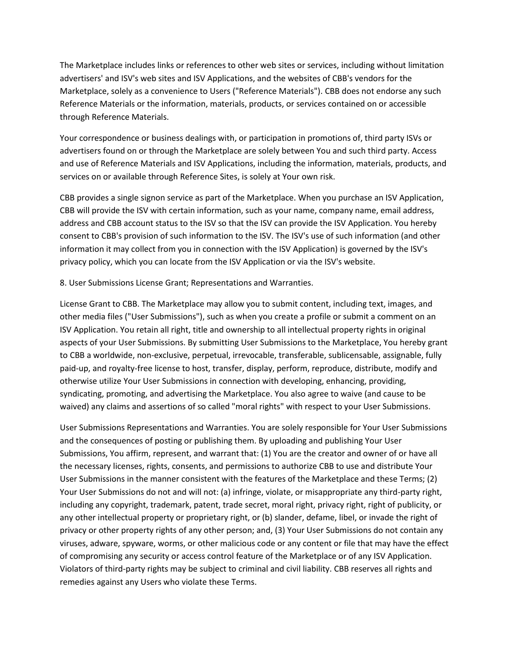The Marketplace includes links or references to other web sites or services, including without limitation advertisers' and ISV's web sites and ISV Applications, and the websites of CBB's vendors for the Marketplace, solely as a convenience to Users ("Reference Materials"). CBB does not endorse any such Reference Materials or the information, materials, products, or services contained on or accessible through Reference Materials.

Your correspondence or business dealings with, or participation in promotions of, third party ISVs or advertisers found on or through the Marketplace are solely between You and such third party. Access and use of Reference Materials and ISV Applications, including the information, materials, products, and services on or available through Reference Sites, is solely at Your own risk.

CBB provides a single signon service as part of the Marketplace. When you purchase an ISV Application, CBB will provide the ISV with certain information, such as your name, company name, email address, address and CBB account status to the ISV so that the ISV can provide the ISV Application. You hereby consent to CBB's provision of such information to the ISV. The ISV's use of such information (and other information it may collect from you in connection with the ISV Application) is governed by the ISV's privacy policy, which you can locate from the ISV Application or via the ISV's website.

8. User Submissions License Grant; Representations and Warranties.

License Grant to CBB. The Marketplace may allow you to submit content, including text, images, and other media files ("User Submissions"), such as when you create a profile or submit a comment on an ISV Application. You retain all right, title and ownership to all intellectual property rights in original aspects of your User Submissions. By submitting User Submissions to the Marketplace, You hereby grant to CBB a worldwide, non-exclusive, perpetual, irrevocable, transferable, sublicensable, assignable, fully paid-up, and royalty-free license to host, transfer, display, perform, reproduce, distribute, modify and otherwise utilize Your User Submissions in connection with developing, enhancing, providing, syndicating, promoting, and advertising the Marketplace. You also agree to waive (and cause to be waived) any claims and assertions of so called "moral rights" with respect to your User Submissions.

User Submissions Representations and Warranties. You are solely responsible for Your User Submissions and the consequences of posting or publishing them. By uploading and publishing Your User Submissions, You affirm, represent, and warrant that: (1) You are the creator and owner of or have all the necessary licenses, rights, consents, and permissions to authorize CBB to use and distribute Your User Submissions in the manner consistent with the features of the Marketplace and these Terms; (2) Your User Submissions do not and will not: (a) infringe, violate, or misappropriate any third-party right, including any copyright, trademark, patent, trade secret, moral right, privacy right, right of publicity, or any other intellectual property or proprietary right, or (b) slander, defame, libel, or invade the right of privacy or other property rights of any other person; and, (3) Your User Submissions do not contain any viruses, adware, spyware, worms, or other malicious code or any content or file that may have the effect of compromising any security or access control feature of the Marketplace or of any ISV Application. Violators of third-party rights may be subject to criminal and civil liability. CBB reserves all rights and remedies against any Users who violate these Terms.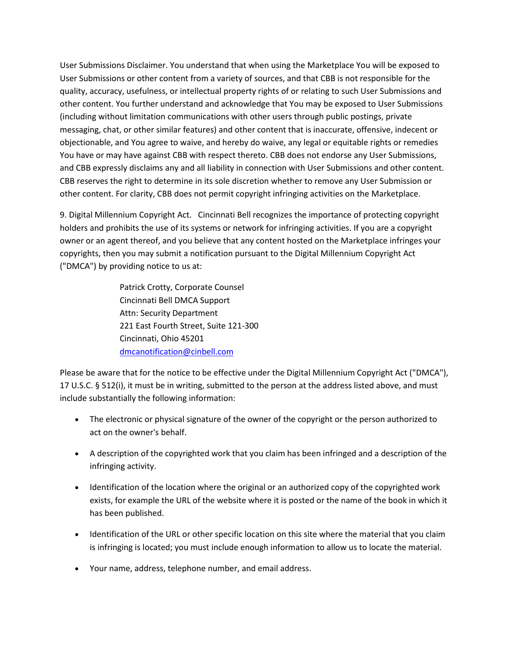User Submissions Disclaimer. You understand that when using the Marketplace You will be exposed to User Submissions or other content from a variety of sources, and that CBB is not responsible for the quality, accuracy, usefulness, or intellectual property rights of or relating to such User Submissions and other content. You further understand and acknowledge that You may be exposed to User Submissions (including without limitation communications with other users through public postings, private messaging, chat, or other similar features) and other content that is inaccurate, offensive, indecent or objectionable, and You agree to waive, and hereby do waive, any legal or equitable rights or remedies You have or may have against CBB with respect thereto. CBB does not endorse any User Submissions, and CBB expressly disclaims any and all liability in connection with User Submissions and other content. CBB reserves the right to determine in its sole discretion whether to remove any User Submission or other content. For clarity, CBB does not permit copyright infringing activities on the Marketplace.

9. Digital Millennium Copyright Act. Cincinnati Bell recognizes the importance of protecting copyright holders and prohibits the use of its systems or network for infringing activities. If you are a copyright owner or an agent thereof, and you believe that any content hosted on the Marketplace infringes your copyrights, then you may submit a notification pursuant to the Digital Millennium Copyright Act ("DMCA") by providing notice to us at:

> Patrick Crotty, Corporate Counsel Cincinnati Bell DMCA Support Attn: Security Department 221 East Fourth Street, Suite 121-300 Cincinnati, Ohio 45201 [dmcanotification@cinbell.com](mailto:dmcanotification@cinbell.com)

Please be aware that for the notice to be effective under the Digital Millennium Copyright Act ("DMCA"), 17 U.S.C. § 512(i), it must be in writing, submitted to the person at the address listed above, and must include substantially the following information:

- The electronic or physical signature of the owner of the copyright or the person authorized to act on the owner's behalf.
- A description of the copyrighted work that you claim has been infringed and a description of the infringing activity.
- Identification of the location where the original or an authorized copy of the copyrighted work exists, for example the URL of the website where it is posted or the name of the book in which it has been published.
- Identification of the URL or other specific location on this site where the material that you claim is infringing is located; you must include enough information to allow us to locate the material.
- Your name, address, telephone number, and email address.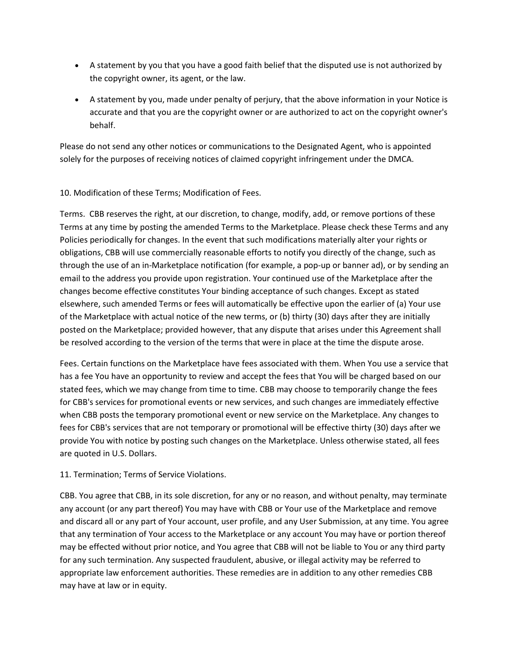- A statement by you that you have a good faith belief that the disputed use is not authorized by the copyright owner, its agent, or the law.
- A statement by you, made under penalty of perjury, that the above information in your Notice is accurate and that you are the copyright owner or are authorized to act on the copyright owner's behalf.

Please do not send any other notices or communications to the Designated Agent, who is appointed solely for the purposes of receiving notices of claimed copyright infringement under the DMCA.

## 10. Modification of these Terms; Modification of Fees.

Terms. CBB reserves the right, at our discretion, to change, modify, add, or remove portions of these Terms at any time by posting the amended Terms to the Marketplace. Please check these Terms and any Policies periodically for changes. In the event that such modifications materially alter your rights or obligations, CBB will use commercially reasonable efforts to notify you directly of the change, such as through the use of an in-Marketplace notification (for example, a pop-up or banner ad), or by sending an email to the address you provide upon registration. Your continued use of the Marketplace after the changes become effective constitutes Your binding acceptance of such changes. Except as stated elsewhere, such amended Terms or fees will automatically be effective upon the earlier of (a) Your use of the Marketplace with actual notice of the new terms, or (b) thirty (30) days after they are initially posted on the Marketplace; provided however, that any dispute that arises under this Agreement shall be resolved according to the version of the terms that were in place at the time the dispute arose.

Fees. Certain functions on the Marketplace have fees associated with them. When You use a service that has a fee You have an opportunity to review and accept the fees that You will be charged based on our stated fees, which we may change from time to time. CBB may choose to temporarily change the fees for CBB's services for promotional events or new services, and such changes are immediately effective when CBB posts the temporary promotional event or new service on the Marketplace. Any changes to fees for CBB's services that are not temporary or promotional will be effective thirty (30) days after we provide You with notice by posting such changes on the Marketplace. Unless otherwise stated, all fees are quoted in U.S. Dollars.

## 11. Termination; Terms of Service Violations.

CBB. You agree that CBB, in its sole discretion, for any or no reason, and without penalty, may terminate any account (or any part thereof) You may have with CBB or Your use of the Marketplace and remove and discard all or any part of Your account, user profile, and any User Submission, at any time. You agree that any termination of Your access to the Marketplace or any account You may have or portion thereof may be effected without prior notice, and You agree that CBB will not be liable to You or any third party for any such termination. Any suspected fraudulent, abusive, or illegal activity may be referred to appropriate law enforcement authorities. These remedies are in addition to any other remedies CBB may have at law or in equity.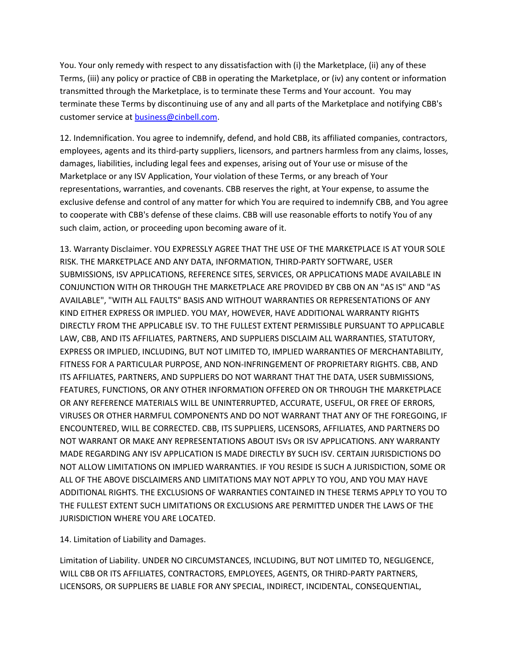You. Your only remedy with respect to any dissatisfaction with (i) the Marketplace, (ii) any of these Terms, (iii) any policy or practice of CBB in operating the Marketplace, or (iv) any content or information transmitted through the Marketplace, is to terminate these Terms and Your account. You may terminate these Terms by discontinuing use of any and all parts of the Marketplace and notifying CBB's customer service at [business@cinbell.com.](mailto:business@cinbell.com)

12. Indemnification. You agree to indemnify, defend, and hold CBB, its affiliated companies, contractors, employees, agents and its third-party suppliers, licensors, and partners harmless from any claims, losses, damages, liabilities, including legal fees and expenses, arising out of Your use or misuse of the Marketplace or any ISV Application, Your violation of these Terms, or any breach of Your representations, warranties, and covenants. CBB reserves the right, at Your expense, to assume the exclusive defense and control of any matter for which You are required to indemnify CBB, and You agree to cooperate with CBB's defense of these claims. CBB will use reasonable efforts to notify You of any such claim, action, or proceeding upon becoming aware of it.

13. Warranty Disclaimer. YOU EXPRESSLY AGREE THAT THE USE OF THE MARKETPLACE IS AT YOUR SOLE RISK. THE MARKETPLACE AND ANY DATA, INFORMATION, THIRD-PARTY SOFTWARE, USER SUBMISSIONS, ISV APPLICATIONS, REFERENCE SITES, SERVICES, OR APPLICATIONS MADE AVAILABLE IN CONJUNCTION WITH OR THROUGH THE MARKETPLACE ARE PROVIDED BY CBB ON AN "AS IS" AND "AS AVAILABLE", "WITH ALL FAULTS" BASIS AND WITHOUT WARRANTIES OR REPRESENTATIONS OF ANY KIND EITHER EXPRESS OR IMPLIED. YOU MAY, HOWEVER, HAVE ADDITIONAL WARRANTY RIGHTS DIRECTLY FROM THE APPLICABLE ISV. TO THE FULLEST EXTENT PERMISSIBLE PURSUANT TO APPLICABLE LAW, CBB, AND ITS AFFILIATES, PARTNERS, AND SUPPLIERS DISCLAIM ALL WARRANTIES, STATUTORY, EXPRESS OR IMPLIED, INCLUDING, BUT NOT LIMITED TO, IMPLIED WARRANTIES OF MERCHANTABILITY, FITNESS FOR A PARTICULAR PURPOSE, AND NON-INFRINGEMENT OF PROPRIETARY RIGHTS. CBB, AND ITS AFFILIATES, PARTNERS, AND SUPPLIERS DO NOT WARRANT THAT THE DATA, USER SUBMISSIONS, FEATURES, FUNCTIONS, OR ANY OTHER INFORMATION OFFERED ON OR THROUGH THE MARKETPLACE OR ANY REFERENCE MATERIALS WILL BE UNINTERRUPTED, ACCURATE, USEFUL, OR FREE OF ERRORS, VIRUSES OR OTHER HARMFUL COMPONENTS AND DO NOT WARRANT THAT ANY OF THE FOREGOING, IF ENCOUNTERED, WILL BE CORRECTED. CBB, ITS SUPPLIERS, LICENSORS, AFFILIATES, AND PARTNERS DO NOT WARRANT OR MAKE ANY REPRESENTATIONS ABOUT ISVs OR ISV APPLICATIONS. ANY WARRANTY MADE REGARDING ANY ISV APPLICATION IS MADE DIRECTLY BY SUCH ISV. CERTAIN JURISDICTIONS DO NOT ALLOW LIMITATIONS ON IMPLIED WARRANTIES. IF YOU RESIDE IS SUCH A JURISDICTION, SOME OR ALL OF THE ABOVE DISCLAIMERS AND LIMITATIONS MAY NOT APPLY TO YOU, AND YOU MAY HAVE ADDITIONAL RIGHTS. THE EXCLUSIONS OF WARRANTIES CONTAINED IN THESE TERMS APPLY TO YOU TO THE FULLEST EXTENT SUCH LIMITATIONS OR EXCLUSIONS ARE PERMITTED UNDER THE LAWS OF THE JURISDICTION WHERE YOU ARE LOCATED.

14. Limitation of Liability and Damages.

Limitation of Liability. UNDER NO CIRCUMSTANCES, INCLUDING, BUT NOT LIMITED TO, NEGLIGENCE, WILL CBB OR ITS AFFILIATES, CONTRACTORS, EMPLOYEES, AGENTS, OR THIRD-PARTY PARTNERS, LICENSORS, OR SUPPLIERS BE LIABLE FOR ANY SPECIAL, INDIRECT, INCIDENTAL, CONSEQUENTIAL,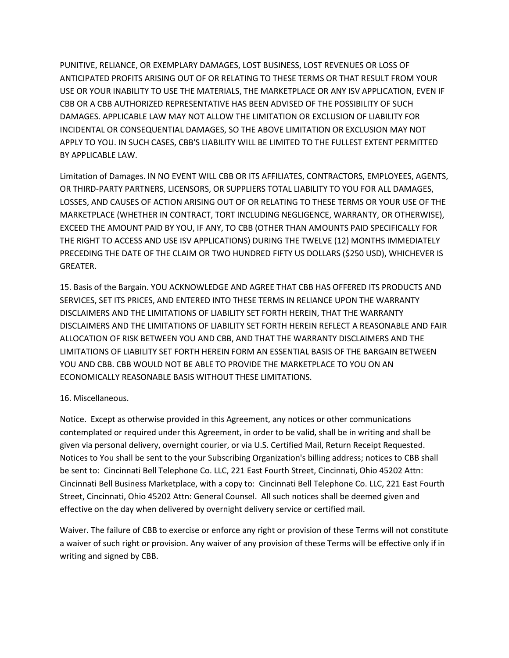PUNITIVE, RELIANCE, OR EXEMPLARY DAMAGES, LOST BUSINESS, LOST REVENUES OR LOSS OF ANTICIPATED PROFITS ARISING OUT OF OR RELATING TO THESE TERMS OR THAT RESULT FROM YOUR USE OR YOUR INABILITY TO USE THE MATERIALS, THE MARKETPLACE OR ANY ISV APPLICATION, EVEN IF CBB OR A CBB AUTHORIZED REPRESENTATIVE HAS BEEN ADVISED OF THE POSSIBILITY OF SUCH DAMAGES. APPLICABLE LAW MAY NOT ALLOW THE LIMITATION OR EXCLUSION OF LIABILITY FOR INCIDENTAL OR CONSEQUENTIAL DAMAGES, SO THE ABOVE LIMITATION OR EXCLUSION MAY NOT APPLY TO YOU. IN SUCH CASES, CBB'S LIABILITY WILL BE LIMITED TO THE FULLEST EXTENT PERMITTED BY APPLICABLE LAW.

Limitation of Damages. IN NO EVENT WILL CBB OR ITS AFFILIATES, CONTRACTORS, EMPLOYEES, AGENTS, OR THIRD-PARTY PARTNERS, LICENSORS, OR SUPPLIERS TOTAL LIABILITY TO YOU FOR ALL DAMAGES, LOSSES, AND CAUSES OF ACTION ARISING OUT OF OR RELATING TO THESE TERMS OR YOUR USE OF THE MARKETPLACE (WHETHER IN CONTRACT, TORT INCLUDING NEGLIGENCE, WARRANTY, OR OTHERWISE), EXCEED THE AMOUNT PAID BY YOU, IF ANY, TO CBB (OTHER THAN AMOUNTS PAID SPECIFICALLY FOR THE RIGHT TO ACCESS AND USE ISV APPLICATIONS) DURING THE TWELVE (12) MONTHS IMMEDIATELY PRECEDING THE DATE OF THE CLAIM OR TWO HUNDRED FIFTY US DOLLARS (\$250 USD), WHICHEVER IS GREATER.

15. Basis of the Bargain. YOU ACKNOWLEDGE AND AGREE THAT CBB HAS OFFERED ITS PRODUCTS AND SERVICES, SET ITS PRICES, AND ENTERED INTO THESE TERMS IN RELIANCE UPON THE WARRANTY DISCLAIMERS AND THE LIMITATIONS OF LIABILITY SET FORTH HEREIN, THAT THE WARRANTY DISCLAIMERS AND THE LIMITATIONS OF LIABILITY SET FORTH HEREIN REFLECT A REASONABLE AND FAIR ALLOCATION OF RISK BETWEEN YOU AND CBB, AND THAT THE WARRANTY DISCLAIMERS AND THE LIMITATIONS OF LIABILITY SET FORTH HEREIN FORM AN ESSENTIAL BASIS OF THE BARGAIN BETWEEN YOU AND CBB. CBB WOULD NOT BE ABLE TO PROVIDE THE MARKETPLACE TO YOU ON AN ECONOMICALLY REASONABLE BASIS WITHOUT THESE LIMITATIONS.

#### 16. Miscellaneous.

Notice. Except as otherwise provided in this Agreement, any notices or other communications contemplated or required under this Agreement, in order to be valid, shall be in writing and shall be given via personal delivery, overnight courier, or via U.S. Certified Mail, Return Receipt Requested. Notices to You shall be sent to the your Subscribing Organization's billing address; notices to CBB shall be sent to: Cincinnati Bell Telephone Co. LLC, 221 East Fourth Street, Cincinnati, Ohio 45202 Attn: Cincinnati Bell Business Marketplace, with a copy to: Cincinnati Bell Telephone Co. LLC, 221 East Fourth Street, Cincinnati, Ohio 45202 Attn: General Counsel. All such notices shall be deemed given and effective on the day when delivered by overnight delivery service or certified mail.

Waiver. The failure of CBB to exercise or enforce any right or provision of these Terms will not constitute a waiver of such right or provision. Any waiver of any provision of these Terms will be effective only if in writing and signed by CBB.